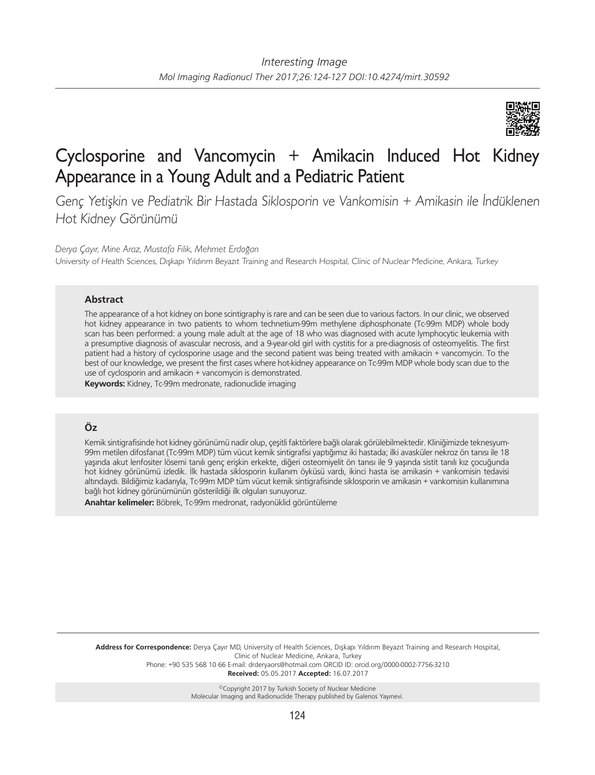

# Cyclosporine and Vancomycin + Amikacin Induced Hot Kidney Appearance in a Young Adult and a Pediatric Patient

Genç Yetişkin ve Pediatrik Bir Hastada Siklosporin ve Vankomisin + Amikasin ile İndüklenen Hot Kidney Görünümü

*Derya Çayır, Mine Araz, Mustafa Filik, Mehmet Erdoğan*

University of Health Sciences, Dışkapı Yıldırım Beyazıt Training and Research Hospital, Clinic of Nuclear Medicine, Ankara, Turkey

### **Abstract**

The appearance of a hot kidney on bone scintigraphy is rare and can be seen due to various factors. In our clinic, we observed hot kidney appearance in two patients to whom technetium-99m methylene diphosphonate (Tc-99m MDP) whole body scan has been performed: a young male adult at the age of 18 who was diagnosed with acute lymphocytic leukemia with a presumptive diagnosis of avascular necrosis, and a 9-year-old girl with cystitis for a pre-diagnosis of osteomyelitis. The first patient had a history of cyclosporine usage and the second patient was being treated with amikacin + vancomycin. To the best of our knowledge, we present the first cases where hot-kidney appearance on Tc-99m MDP whole body scan due to the use of cyclosporin and amikacin + vancomycin is demonstrated.

**Keywords:** Kidney, Tc-99m medronate, radionuclide imaging

## **Öz**

Kemik sintigrafisinde hot kidney görünümü nadir olup, çeşitli faktörlere bağlı olarak görülebilmektedir. Kliniğimizde teknesyum-99m metilen difosfanat (Tc-99m MDP) tüm vücut kemik sintigrafisi yaptığımız iki hastada; ilki avasküler nekroz ön tanısı ile 18 yaşında akut lenfositer lösemi tanılı genç erişkin erkekte, diğeri osteomiyelit ön tanısı ile 9 yaşında sistit tanılı kız çocuğunda hot kidney görünümü izledik. İlk hastada siklosporin kullanım öyküsü vardı, ikinci hasta ise amikasin + vankomisin tedavisi altındaydı. Bildiğimiz kadarıyla, Tc-99m MDP tüm vücut kemik sintigrafisinde siklosporin ve amikasin + vankomisin kullanımına bağlı hot kidney görünümünün gösterildiği ilk olguları sunuyoruz.

**Anahtar kelimeler:** Böbrek, Tc-99m medronat, radyonüklid görüntüleme

**Address for Correspondence:** Derya Çayır MD, University of Health Sciences, Dışkapı Yıldırım Beyazıt Training and Research Hospital, Clinic of Nuclear Medicine, Ankara, Turkey Phone: +90 535 568 10 66 E-mail: drderyaors@hotmail.com ORCID ID: orcid.org/0000-0002-7756-3210

**Received:** 05.05.2017 **Accepted:** 16.07.2017

©Copyright 2017 by Turkish Society of Nuclear Medicine Molecular Imaging and Radionuclide Therapy published by Galenos Yayınevi.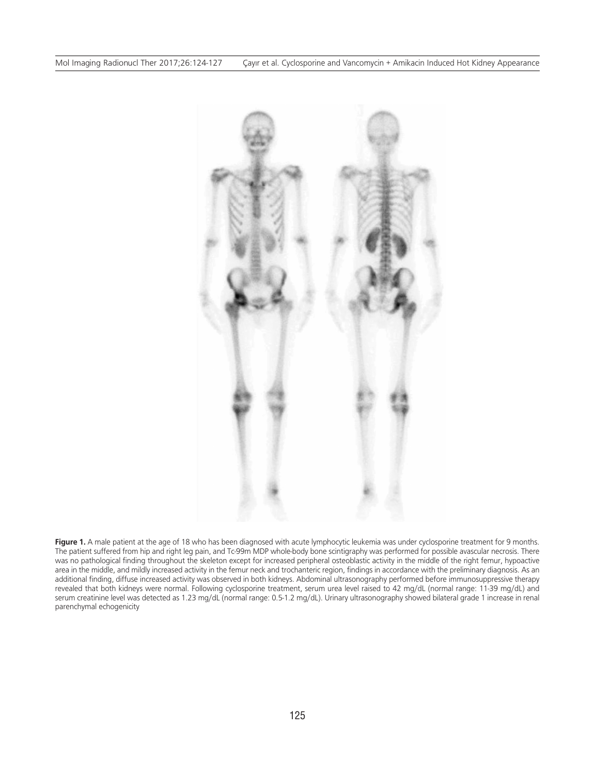

Figure 1. A male patient at the age of 18 who has been diagnosed with acute lymphocytic leukemia was under cyclosporine treatment for 9 months. The patient suffered from hip and right leg pain, and Tc-99m MDP whole-body bone scintigraphy was performed for possible avascular necrosis. There was no pathological finding throughout the skeleton except for increased peripheral osteoblastic activity in the middle of the right femur, hypoactive area in the middle, and mildly increased activity in the femur neck and trochanteric region, findings in accordance with the preliminary diagnosis. As an additional finding, diffuse increased activity was observed in both kidneys. Abdominal ultrasonography performed before immunosuppressive therapy revealed that both kidneys were normal. Following cyclosporine treatment, serum urea level raised to 42 mg/dL (normal range: 11-39 mg/dL) and serum creatinine level was detected as 1.23 mg/dL (normal range: 0.5-1.2 mg/dL). Urinary ultrasonography showed bilateral grade 1 increase in renal parenchymal echogenicity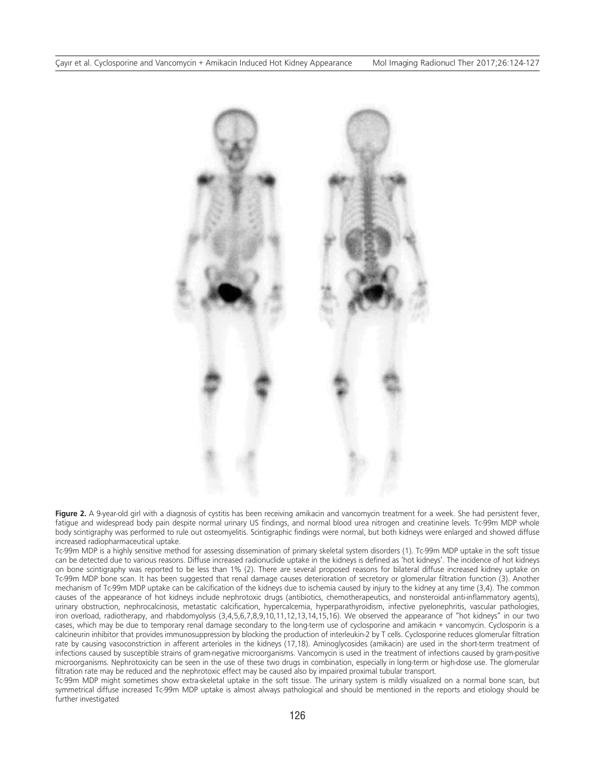

**Figure 2.** A 9-year-old girl with a diagnosis of cystitis has been receiving amikacin and vancomycin treatment for a week. She had persistent fever, fatigue and widespread body pain despite normal urinary US findings, and normal blood urea nitrogen and creatinine levels. Tc-99m MDP whole body scintigraphy was performed to rule out osteomyelitis. Scintigraphic findings were normal, but both kidneys were enlarged and showed diffuse increased radiopharmaceutical uptake.

Tc-99m MDP is a highly sensitive method for assessing dissemination of primary skeletal system disorders (1). Tc-99m MDP uptake in the soft tissue can be detected due to various reasons. Diffuse increased radionuclide uptake in the kidneys is defined as 'hot kidneys'. The incidence of hot kidneys on bone scintigraphy was reported to be less than 1% (2). There are several proposed reasons for bilateral diffuse increased kidney uptake on Tc-99m MDP bone scan. It has been suggested that renal damage causes deterioration of secretory or glomerular filtration function (3). Another mechanism of Tc-99m MDP uptake can be calcification of the kidneys due to ischemia caused by injury to the kidney at any time (3,4). The common causes of the appearance of hot kidneys include nephrotoxic drugs (antibiotics, chemotherapeutics, and nonsteroidal anti-inflammatory agents), urinary obstruction, nephrocalcinosis, metastatic calcification, hypercalcemia, hyperparathyroidism, infective pyelonephritis, vascular pathologies, iron overload, radiotherapy, and rhabdomyolysis (3,4,5,6,7,8,9,10,11,12,13,14,15,16). We observed the appearance of "hot kidneys" in our two cases, which may be due to temporary renal damage secondary to the long-term use of cyclosporine and amikacin + vancomycin. Cyclosporin is a calcineurin inhibitor that provides immunosuppression by blocking the production of interleukin-2 by T cells. Cyclosporine reduces glomerular filtration rate by causing vasoconstriction in afferent arterioles in the kidneys (17,18). Aminoglycosides (amikacin) are used in the short-term treatment of infections caused by susceptible strains of gram-negative microorganisms. Vancomycin is used in the treatment of infections caused by gram-positive microorganisms. Nephrotoxicity can be seen in the use of these two drugs in combination, especially in long-term or high-dose use. The glomerular filtration rate may be reduced and the nephrotoxic effect may be caused also by impaired proximal tubular transport.

Tc-99m MDP might sometimes show extra-skeletal uptake in the soft tissue. The urinary system is mildly visualized on a normal bone scan, but symmetrical diffuse increased Tc-99m MDP uptake is almost always pathological and should be mentioned in the reports and etiology should be further investigated